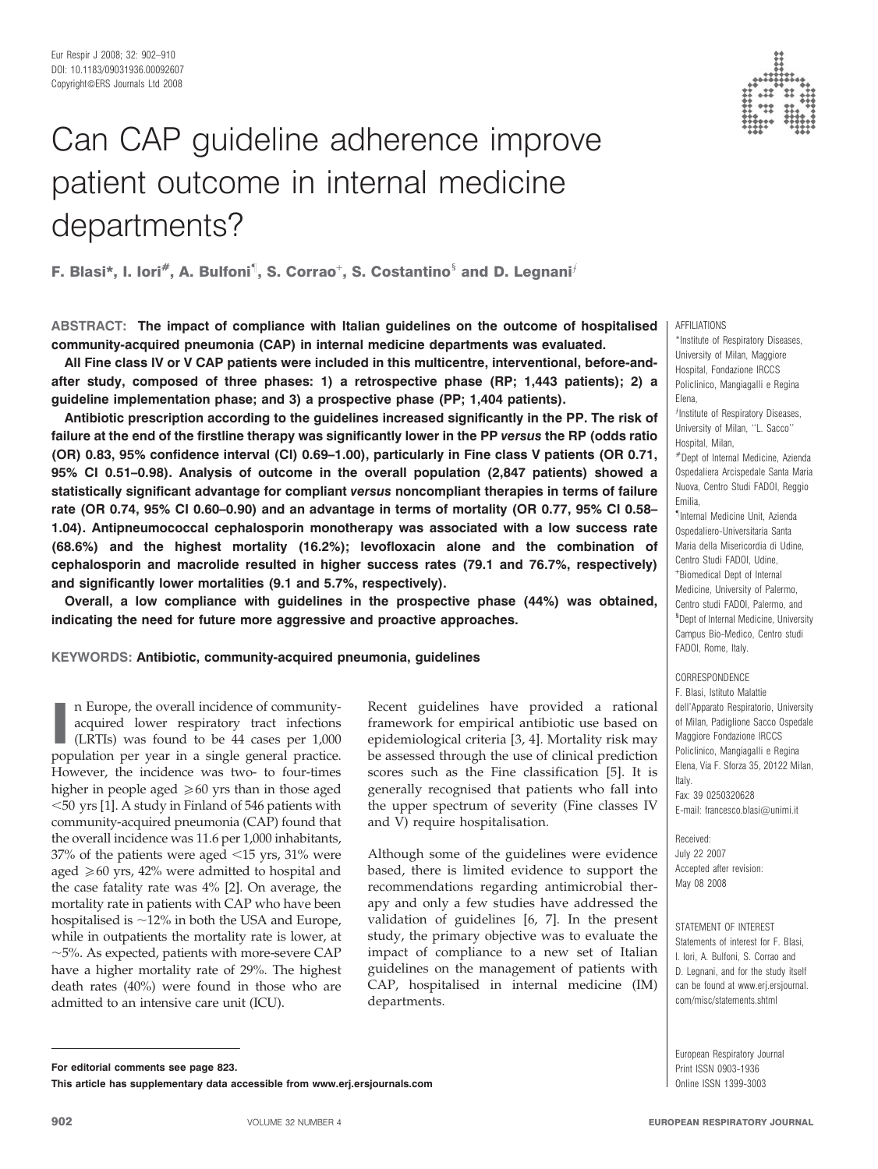# Can CAP guideline adherence improve patient outcome in internal medicine departments?

F. Blasi\*, I. Iori<sup>#</sup>, A. Bulfoni<sup>1</sup>, S. Corrao<sup>+</sup>, S. Costantino<sup>§</sup> and D. Legnani<sup>*f*</sup>

ABSTRACT: The impact of compliance with Italian guidelines on the outcome of hospitalised community-acquired pneumonia (CAP) in internal medicine departments was evaluated.

All Fine class IV or V CAP patients were included in this multicentre, interventional, before-andafter study, composed of three phases: 1) a retrospective phase (RP; 1,443 patients); 2) a guideline implementation phase; and 3) a prospective phase (PP; 1,404 patients).

Antibiotic prescription according to the guidelines increased significantly in the PP. The risk of failure at the end of the firstline therapy was significantly lower in the PP versus the RP (odds ratio (OR) 0.83, 95% confidence interval (CI) 0.69–1.00), particularly in Fine class V patients (OR 0.71, 95% CI 0.51–0.98). Analysis of outcome in the overall population (2,847 patients) showed a statistically significant advantage for compliant versus noncompliant therapies in terms of failure rate (OR 0.74, 95% CI 0.60–0.90) and an advantage in terms of mortality (OR 0.77, 95% CI 0.58– 1.04). Antipneumococcal cephalosporin monotherapy was associated with a low success rate (68.6%) and the highest mortality (16.2%); levofloxacin alone and the combination of cephalosporin and macrolide resulted in higher success rates (79.1 and 76.7%, respectively) and significantly lower mortalities (9.1 and 5.7%, respectively).

Overall, a low compliance with guidelines in the prospective phase (44%) was obtained, indicating the need for future more aggressive and proactive approaches.

KEYWORDS: Antibiotic, community-acquired pneumonia, guidelines

In Europe, the overall incidence of community-<br>acquired lower respiratory tract infections<br>(LRTIs) was found to be 44 cases per 1,000<br>population per year in a single general practice. n Europe, the overall incidence of communityacquired lower respiratory tract infections (LRTIs) was found to be 44 cases per 1,000 However, the incidence was two- to four-times higher in people aged  $\geq 60$  yrs than in those aged  $<$  50 yrs [1]. A study in Finland of 546 patients with community-acquired pneumonia (CAP) found that the overall incidence was 11.6 per 1,000 inhabitants, 37% of the patients were aged  $<$ 15 yrs, 31% were aged  $\geq 60$  yrs, 42% were admitted to hospital and the case fatality rate was 4% [2]. On average, the mortality rate in patients with CAP who have been hospitalised is  $\sim$ 12% in both the USA and Europe, while in outpatients the mortality rate is lower, at  $\sim$ 5%. As expected, patients with more-severe CAP have a higher mortality rate of 29%. The highest death rates (40%) were found in those who are admitted to an intensive care unit (ICU).

Recent guidelines have provided a rational framework for empirical antibiotic use based on epidemiological criteria [3, 4]. Mortality risk may be assessed through the use of clinical prediction scores such as the Fine classification [5]. It is generally recognised that patients who fall into the upper spectrum of severity (Fine classes IV and V) require hospitalisation.

Although some of the guidelines were evidence based, there is limited evidence to support the recommendations regarding antimicrobial therapy and only a few studies have addressed the validation of guidelines [6, 7]. In the present study, the primary objective was to evaluate the impact of compliance to a new set of Italian guidelines on the management of patients with CAP, hospitalised in internal medicine (IM) departments.

AFFILIATIONS

\*Institute of Respiratory Diseases, University of Milan, Maggiore Hospital, Fondazione IRCCS Policlinico, Mangiagalli e Regina Elena, flnstitute of Respiratory Diseases,

University of Milan, ''L. Sacco'' Hospital, Milan,

#Dept of Internal Medicine, Azienda Ospedaliera Arcispedale Santa Maria Nuova, Centro Studi FADOI, Reggio Emilia,

" Internal Medicine Unit, Azienda Ospedaliero-Universitaria Santa Maria della Misericordia di Udine, Centro Studi FADOI, Udine, + Biomedical Dept of Internal Medicine, University of Palermo, Centro studi FADOI, Palermo, and <sup>s</sup> Dept of Internal Medicine, University Campus Bio-Medico, Centro studi FADOI, Rome, Italy.

**CORRESPONDENCE** F. Blasi, Istituto Malattie dell'Apparato Respiratorio, University of Milan, Padiglione Sacco Ospedale Maggiore Fondazione IRCCS Policlinico, Mangiagalli e Regina Elena, Via F. Sforza 35, 20122 Milan, Italy.

Fax: 39 0250320628 E-mail: francesco.blasi@unimi.it

Received: July 22 2007 Accepted after revision: May 08 2008

STATEMENT OF INTEREST Statements of interest for F. Blasi, I. Iori, A. Bulfoni, S. Corrao and D. Legnani, and for the study itself can be found at www.erj.ersjournal. com/misc/statements.shtml

European Respiratory Journal Print ISSN 0903-1936

For editorial comments see page 823.

This article has supplementary data accessible from www.erj.ersjournals.com **Online ISSN 1399-3003** Online ISSN 1399-3003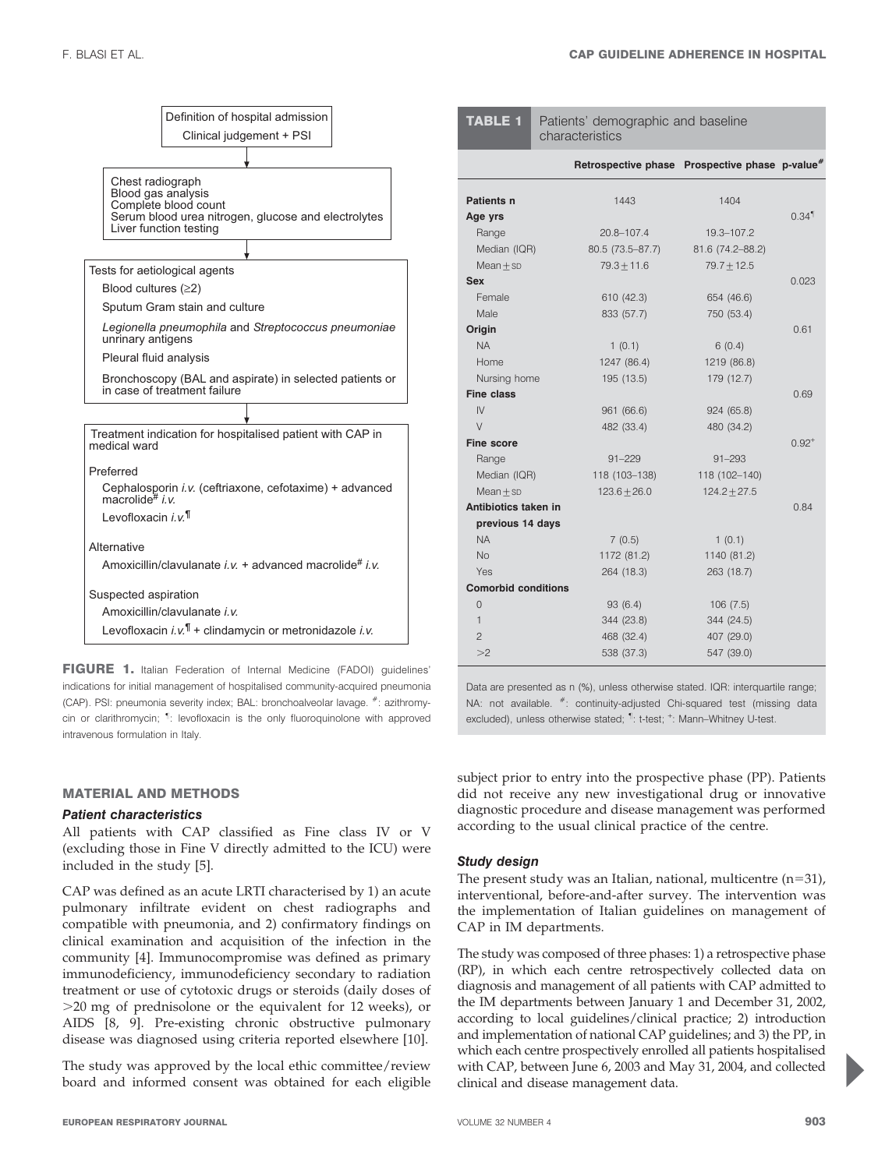

FIGURE 1. Italian Federation of Internal Medicine (FADOI) guidelines' indications for initial management of hospitalised community-acquired pneumonia (CAP). PSI: pneumonia severity index; BAL: bronchoalveolar lavage. #: azithromycin or clarithromycin; <sup>1</sup>: levofloxacin is the only fluoroquinolone with approved intravenous formulation in Italy.

### MATERIAL AND METHODS

#### Patient characteristics

All patients with CAP classified as Fine class IV or V (excluding those in Fine V directly admitted to the ICU) were included in the study [5].

CAP was defined as an acute LRTI characterised by 1) an acute pulmonary infiltrate evident on chest radiographs and compatible with pneumonia, and 2) confirmatory findings on clinical examination and acquisition of the infection in the community [4]. Immunocompromise was defined as primary immunodeficiency, immunodeficiency secondary to radiation treatment or use of cytotoxic drugs or steroids (daily doses of  $>$ 20 mg of prednisolone or the equivalent for 12 weeks), or AIDS [8, 9]. Pre-existing chronic obstructive pulmonary disease was diagnosed using criteria reported elsewhere [10].

The study was approved by the local ethic committee/review board and informed consent was obtained for each eligible

P

0.84

subject prior to entry into the prospective phase (PP). Patients

Data are presented as n (%), unless otherwise stated. IQR: interquartile range; NA: not available.  $*$ : continuity-adjusted Chi-squared test (missing data excluded), unless otherwise stated; <sup>1</sup>: t-test; <sup>+</sup>: Mann-Whitney U-test.

did not receive any new investigational drug or innovative diagnostic procedure and disease management was performed according to the usual clinical practice of the centre.

#### Study design

The present study was an Italian, national, multicentre  $(n=31)$ , interventional, before-and-after survey. The intervention was the implementation of Italian guidelines on management of CAP in IM departments.

The study was composed of three phases: 1) a retrospective phase (RP), in which each centre retrospectively collected data on diagnosis and management of all patients with CAP admitted to the IM departments between January 1 and December 31, 2002, according to local guidelines/clinical practice; 2) introduction and implementation of national CAP guidelines; and 3) the PP, in which each centre prospectively enrolled all patients hospitalised with CAP, between June 6, 2003 and May 31, 2004, and collected clinical and disease management data.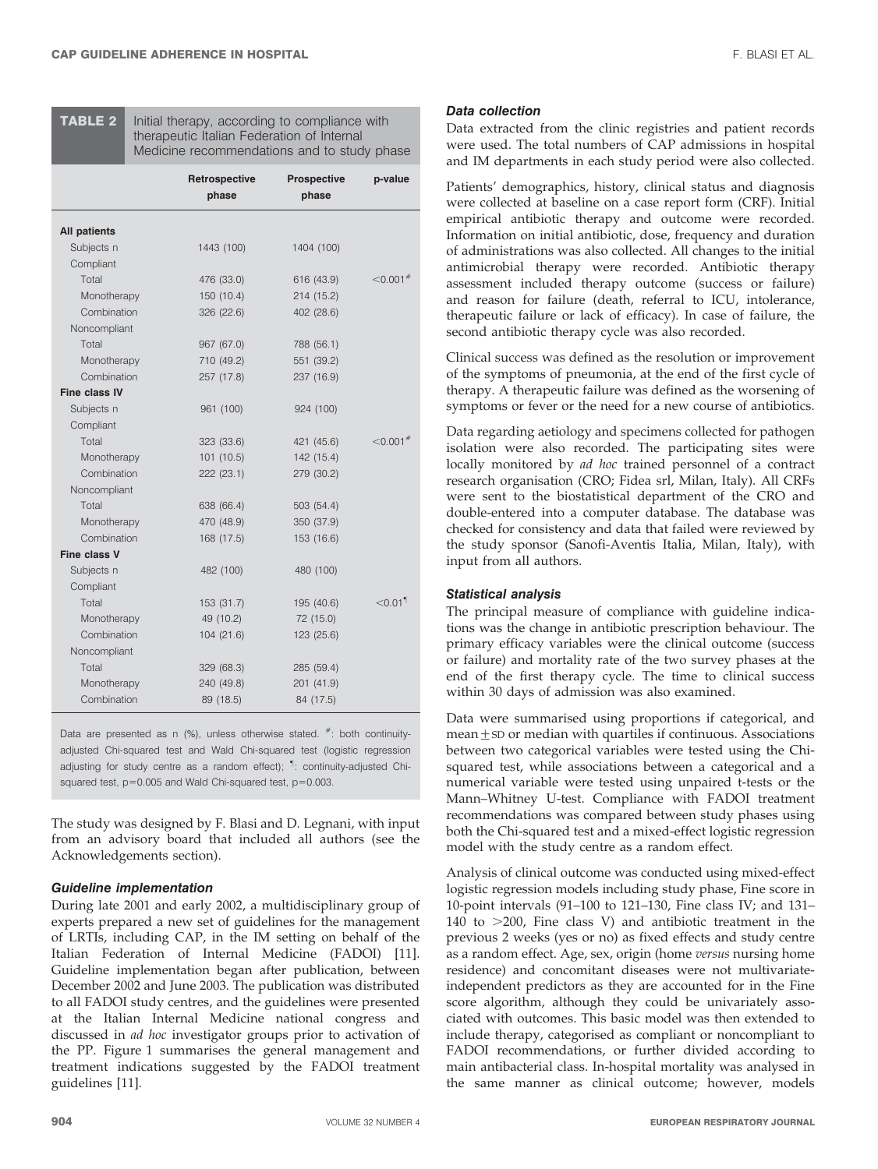**TABLE 2** Initial therapy, according to compliance with therapeutic Italian Federation of Internal Medicine recommendations and to study phase

|                     | Retrospective<br>phase | <b>Prospective</b><br>phase | p-value                |
|---------------------|------------------------|-----------------------------|------------------------|
| <b>All patients</b> |                        |                             |                        |
| Subjects n          | 1443 (100)             | 1404 (100)                  |                        |
| Compliant           |                        |                             |                        |
| Total               | 476 (33.0)             | 616 (43.9)                  | $< 0.001$ <sup>#</sup> |
| Monotherapy         | 150 (10.4)             | 214 (15.2)                  |                        |
| Combination         | 326 (22.6)             | 402 (28.6)                  |                        |
| Noncompliant        |                        |                             |                        |
| Total               | 967 (67.0)             | 788 (56.1)                  |                        |
| Monotherapy         | 710 (49.2)             | 551 (39.2)                  |                        |
| Combination         | 257 (17.8)             | 237 (16.9)                  |                        |
| Fine class IV       |                        |                             |                        |
| Subjects n          | 961 (100)              | 924 (100)                   |                        |
| Compliant           |                        |                             |                        |
| Total               | 323 (33.6)             | 421 (45.6)                  | $<$ 0.001 $^#$         |
| Monotherapy         | 101(10.5)              | 142 (15.4)                  |                        |
| Combination         | 222 (23.1)             | 279 (30.2)                  |                        |
| Noncompliant        |                        |                             |                        |
| Total               | 638 (66.4)             | 503 (54.4)                  |                        |
| Monotherapy         | 470 (48.9)             | 350 (37.9)                  |                        |
| Combination         | 168 (17.5)             | 153 (16.6)                  |                        |
| Fine class V        |                        |                             |                        |
| Subjects n          | 482 (100)              | 480 (100)                   |                        |
| Compliant           |                        |                             |                        |
| Total               | 153 (31.7)             | 195 (40.6)                  | $< 0.01$ <sup>1</sup>  |
| Monotherapy         | 49 (10.2)              | 72 (15.0)                   |                        |
| Combination         | 104(21.6)              | 123 (25.6)                  |                        |
| Noncompliant        |                        |                             |                        |
| Total               | 329 (68.3)             | 285 (59.4)                  |                        |
| Monotherapy         | 240 (49.8)             | 201 (41.9)                  |                        |
| Combination         | 89 (18.5)              | 84 (17.5)                   |                        |

Data are presented as n (%), unless otherwise stated. #: both continuityadjusted Chi-squared test and Wald Chi-squared test (logistic regression adjusting for study centre as a random effect); <sup>1</sup>: continuity-adjusted Chisquared test,  $p=0.005$  and Wald Chi-squared test,  $p=0.003$ .

The study was designed by F. Blasi and D. Legnani, with input from an advisory board that included all authors (see the Acknowledgements section).

#### Guideline implementation

During late 2001 and early 2002, a multidisciplinary group of experts prepared a new set of guidelines for the management of LRTIs, including CAP, in the IM setting on behalf of the Italian Federation of Internal Medicine (FADOI) [11]. Guideline implementation began after publication, between December 2002 and June 2003. The publication was distributed to all FADOI study centres, and the guidelines were presented at the Italian Internal Medicine national congress and discussed in ad hoc investigator groups prior to activation of the PP. Figure 1 summarises the general management and treatment indications suggested by the FADOI treatment guidelines [11].

#### Data collection

Data extracted from the clinic registries and patient records were used. The total numbers of CAP admissions in hospital and IM departments in each study period were also collected.

Patients' demographics, history, clinical status and diagnosis were collected at baseline on a case report form (CRF). Initial empirical antibiotic therapy and outcome were recorded. Information on initial antibiotic, dose, frequency and duration of administrations was also collected. All changes to the initial antimicrobial therapy were recorded. Antibiotic therapy assessment included therapy outcome (success or failure) and reason for failure (death, referral to ICU, intolerance, therapeutic failure or lack of efficacy). In case of failure, the second antibiotic therapy cycle was also recorded.

Clinical success was defined as the resolution or improvement of the symptoms of pneumonia, at the end of the first cycle of therapy. A therapeutic failure was defined as the worsening of symptoms or fever or the need for a new course of antibiotics.

Data regarding aetiology and specimens collected for pathogen isolation were also recorded. The participating sites were locally monitored by ad hoc trained personnel of a contract research organisation (CRO; Fidea srl, Milan, Italy). All CRFs were sent to the biostatistical department of the CRO and double-entered into a computer database. The database was checked for consistency and data that failed were reviewed by the study sponsor (Sanofi-Aventis Italia, Milan, Italy), with input from all authors.

#### Statistical analysis

The principal measure of compliance with guideline indications was the change in antibiotic prescription behaviour. The primary efficacy variables were the clinical outcome (success or failure) and mortality rate of the two survey phases at the end of the first therapy cycle. The time to clinical success within 30 days of admission was also examined.

Data were summarised using proportions if categorical, and  $mean  $\pm$  SD$  or median with quartiles if continuous. Associations between two categorical variables were tested using the Chisquared test, while associations between a categorical and a numerical variable were tested using unpaired t-tests or the Mann–Whitney U-test. Compliance with FADOI treatment recommendations was compared between study phases using both the Chi-squared test and a mixed-effect logistic regression model with the study centre as a random effect.

Analysis of clinical outcome was conducted using mixed-effect logistic regression models including study phase, Fine score in 10-point intervals (91–100 to 121–130, Fine class IV; and 131– 140 to  $>$  200, Fine class V) and antibiotic treatment in the previous 2 weeks (yes or no) as fixed effects and study centre as a random effect. Age, sex, origin (home versus nursing home residence) and concomitant diseases were not multivariateindependent predictors as they are accounted for in the Fine score algorithm, although they could be univariately associated with outcomes. This basic model was then extended to include therapy, categorised as compliant or noncompliant to FADOI recommendations, or further divided according to main antibacterial class. In-hospital mortality was analysed in the same manner as clinical outcome; however, models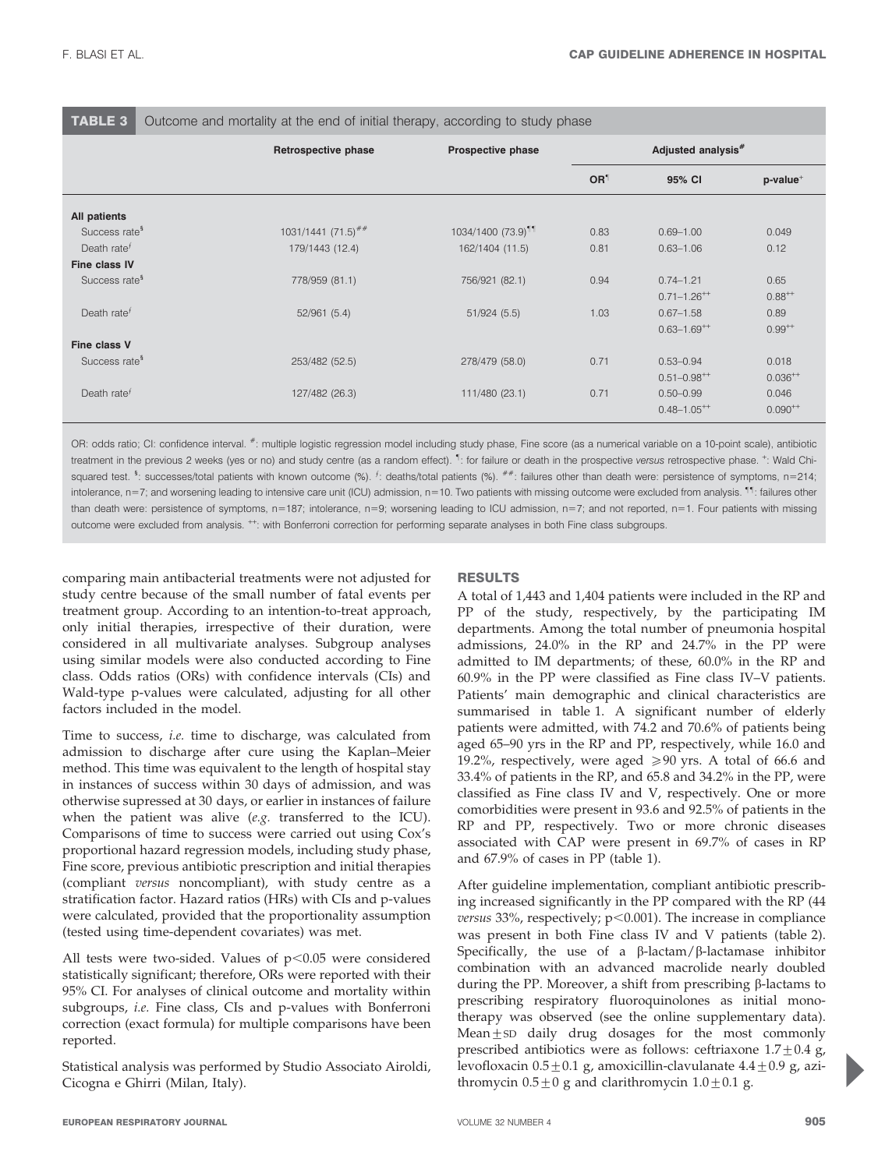Outcome and mortality at the end of initial therapy, according to study phase

|                           | Retrospective phase              | Prospective phase              | Adjusted analysis <sup>#</sup> |                             |                 |
|---------------------------|----------------------------------|--------------------------------|--------------------------------|-----------------------------|-----------------|
|                           |                                  |                                | OR <sup>1</sup>                | 95% CI                      | $p$ -value $^+$ |
| All patients              |                                  |                                |                                |                             |                 |
| Success rate <sup>§</sup> | $1031/1441$ (71.5) <sup>##</sup> | 1034/1400 (73.9) <sup>11</sup> | 0.83                           | $0.69 - 1.00$               | 0.049           |
| Death rate $f$            | 179/1443 (12.4)                  | 162/1404 (11.5)                | 0.81                           | $0.63 - 1.06$               | 0.12            |
| Fine class IV             |                                  |                                |                                |                             |                 |
| Success rate <sup>§</sup> | 778/959 (81.1)                   | 756/921 (82.1)                 | 0.94                           | $0.74 - 1.21$               | 0.65            |
|                           |                                  |                                |                                | $0.71 - 1.26^{++}$          | $0.88^{++}$     |
| Death rate $f$            | 52/961(5.4)                      | 51/924(5.5)                    | 1.03                           | $0.67 - 1.58$               | 0.89            |
|                           |                                  |                                |                                | $0.63 - 1.69$ <sup>++</sup> | $0.99^{++}$     |
| Fine class V              |                                  |                                |                                |                             |                 |
| Success rate <sup>§</sup> | 253/482 (52.5)                   | 278/479 (58.0)                 | 0.71                           | $0.53 - 0.94$               | 0.018           |
|                           |                                  |                                |                                | $0.51 - 0.98^{++}$          | $0.036^{++}$    |
| Death rate $f$            | 127/482 (26.3)                   | 111/480 (23.1)                 | 0.71                           | $0.50 - 0.99$               | 0.046           |
|                           |                                  |                                |                                | $0.48 - 1.05$ <sup>++</sup> | $0.090^{++}$    |

OR: odds ratio; CI: confidence interval.  $*$ : multiple logistic regression model including study phase, Fine score (as a numerical variable on a 10-point scale), antibiotic treatment in the previous 2 weeks (yes or no) and study centre (as a random effect). <sup>1</sup>: for failure or death in the prospective versus retrospective phase. <sup>+</sup>: Wald Chisquared test. <sup>§</sup>: successes/total patients with known outcome (%). <sup>f</sup>: deaths/total patients (%). <sup>##</sup>: failures other than death were: persistence of symptoms, n=214; intolerance, n=7; and worsening leading to intensive care unit (ICU) admission, n=10. Two patients with missing outcome were excluded from analysis. <sup>11</sup>: failures other than death were: persistence of symptoms, n=187; intolerance, n=9; worsening leading to ICU admission, n=7; and not reported, n=1. Four patients with missing outcome were excluded from analysis. <sup>++</sup>: with Bonferroni correction for performing separate analyses in both Fine class subgroups.

comparing main antibacterial treatments were not adjusted for study centre because of the small number of fatal events per treatment group. According to an intention-to-treat approach, only initial therapies, irrespective of their duration, were considered in all multivariate analyses. Subgroup analyses using similar models were also conducted according to Fine class. Odds ratios (ORs) with confidence intervals (CIs) and Wald-type p-values were calculated, adjusting for all other factors included in the model.

Time to success, i.e. time to discharge, was calculated from admission to discharge after cure using the Kaplan–Meier method. This time was equivalent to the length of hospital stay in instances of success within 30 days of admission, and was otherwise supressed at 30 days, or earlier in instances of failure when the patient was alive (e.g. transferred to the ICU). Comparisons of time to success were carried out using Cox's proportional hazard regression models, including study phase, Fine score, previous antibiotic prescription and initial therapies (compliant versus noncompliant), with study centre as a stratification factor. Hazard ratios (HRs) with CIs and p-values were calculated, provided that the proportionality assumption (tested using time-dependent covariates) was met.

All tests were two-sided. Values of  $p<0.05$  were considered statistically significant; therefore, ORs were reported with their 95% CI. For analyses of clinical outcome and mortality within subgroups, i.e. Fine class, CIs and p-values with Bonferroni correction (exact formula) for multiple comparisons have been reported.

Statistical analysis was performed by Studio Associato Airoldi, Cicogna e Ghirri (Milan, Italy).

# RESULTS

A total of 1,443 and 1,404 patients were included in the RP and PP of the study, respectively, by the participating IM departments. Among the total number of pneumonia hospital admissions, 24.0% in the RP and 24.7% in the PP were admitted to IM departments; of these, 60.0% in the RP and 60.9% in the PP were classified as Fine class IV–V patients. Patients' main demographic and clinical characteristics are summarised in table 1. A significant number of elderly patients were admitted, with 74.2 and 70.6% of patients being aged 65–90 yrs in the RP and PP, respectively, while 16.0 and 19.2%, respectively, were aged  $\geq 90$  yrs. A total of 66.6 and 33.4% of patients in the RP, and 65.8 and 34.2% in the PP, were classified as Fine class IV and V, respectively. One or more comorbidities were present in 93.6 and 92.5% of patients in the RP and PP, respectively. Two or more chronic diseases associated with CAP were present in 69.7% of cases in RP and 67.9% of cases in PP (table 1).

After guideline implementation, compliant antibiotic prescribing increased significantly in the PP compared with the RP (44 versus 33%, respectively;  $p<0.001$ ). The increase in compliance was present in both Fine class IV and V patients (table 2). Specifically, the use of a  $\beta$ -lactam/ $\beta$ -lactamase inhibitor combination with an advanced macrolide nearly doubled during the PP. Moreover, a shift from prescribing  $\beta$ -lactams to prescribing respiratory fluoroquinolones as initial monotherapy was observed (see the online supplementary data). Mean $±$ sD daily drug dosages for the most commonly prescribed antibiotics were as follows: ceftriaxone  $1.7 \pm 0.4$  g, levofloxacin  $0.5 \pm 0.1$  g, amoxicillin-clavulanate  $4.4 \pm 0.9$  g, azithromycin  $0.5 \pm 0$  g and clarithromycin  $1.0 \pm 0.1$  g.

P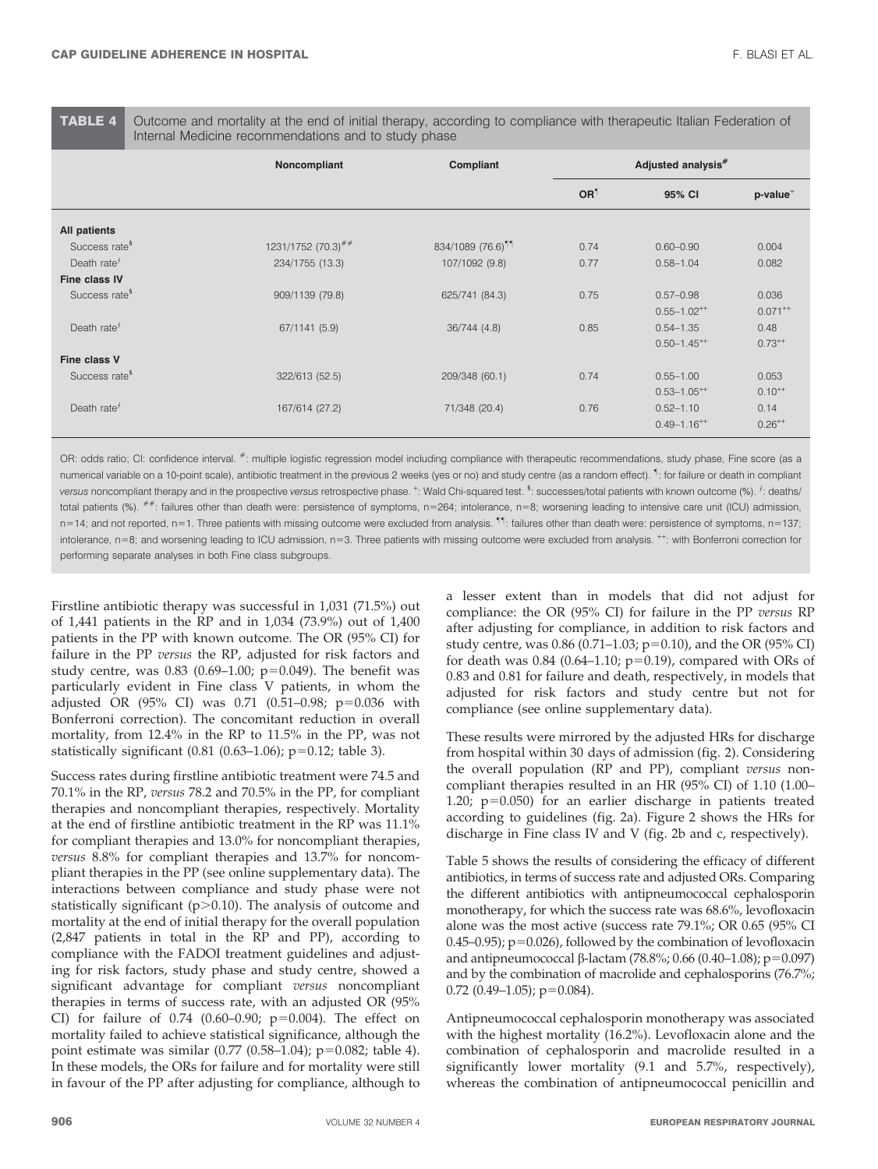TABLE 4 Outcome and mortality at the end of initial therapy, according to compliance with therapeutic Italian Federation of Internal Medicine recommendations and to study phase

|                            | Noncompliant                     | Compliant                     | Adjusted analysis# |                             |                 |
|----------------------------|----------------------------------|-------------------------------|--------------------|-----------------------------|-----------------|
|                            |                                  |                               | OR <sup>1</sup>    | 95% CI                      | $p$ -value $^+$ |
| All patients               |                                  |                               |                    |                             |                 |
| Success rate <sup>§</sup>  | $1231/1752$ (70.3) <sup>##</sup> | 834/1089 (76.6) <sup>11</sup> | 0.74               | $0.60 - 0.90$               | 0.004           |
| Death rate $f$             | 234/1755 (13.3)                  | 107/1092 (9.8)                | 0.77               | $0.58 - 1.04$               | 0.082           |
| Fine class IV              |                                  |                               |                    |                             |                 |
| Success rate <sup>§</sup>  | 909/1139 (79.8)                  | 625/741 (84.3)                | 0.75               | $0.57 - 0.98$               | 0.036           |
|                            |                                  |                               |                    | $0.55 - 1.02^{++}$          | $0.071^{++}$    |
| Death rate $f$             | 67/1141 (5.9)                    | 36/744 (4.8)                  | 0.85               | $0.54 - 1.35$               | 0.48            |
|                            |                                  |                               |                    | $0.50 - 1.45$ <sup>**</sup> | $0.73^{++}$     |
| Fine class V               |                                  |                               |                    |                             |                 |
| Success rate <sup>\$</sup> | 322/613 (52.5)                   | 209/348 (60.1)                | 0.74               | $0.55 - 1.00$               | 0.053           |
|                            |                                  |                               |                    | $0.53 - 1.05$ <sup>**</sup> | $0.10^{++}$     |
| Death rate $f$             | 167/614 (27.2)                   | 71/348 (20.4)                 | 0.76               | $0.52 - 1.10$               | 0.14            |
|                            |                                  |                               |                    | $0.49 - 1.16^{++}$          | $0.26^{++}$     |

OR: odds ratio; CI: confidence interval. #: multiple logistic regression model including compliance with therapeutic recommendations, study phase, Fine score (as a numerical variable on a 10-point scale), antibiotic treatment in the previous 2 weeks (yes or no) and study centre (as a random effect). " : for failure or death in compliant versus noncompliant therapy and in the prospective versus retrospective phase.  $^{\star}$ : Wald Chi-squared test. <sup>§</sup>: successes/total patients with known outcome (%). <sup>f</sup>: deaths/ total patients (%).  $\#$  failures other than death were: persistence of symptoms, n=264; intolerance, n=8; worsening leading to intensive care unit (ICU) admission, n=14; and not reported, n=1. Three patients with missing outcome were excluded from analysis. <sup>11</sup>: failures other than death were: persistence of symptoms, n=137; intolerance, n=8; and worsening leading to ICU admission, n=3. Three patients with missing outcome were excluded from analysis. <sup>++</sup>: with Bonferroni correction for performing separate analyses in both Fine class subgroups.

Firstline antibiotic therapy was successful in 1,031 (71.5%) out of 1,441 patients in the RP and in 1,034 (73.9%) out of 1,400 patients in the PP with known outcome. The OR (95% CI) for failure in the PP versus the RP, adjusted for risk factors and study centre, was  $0.83$  (0.69-1.00; p=0.049). The benefit was particularly evident in Fine class V patients, in whom the adjusted OR (95% CI) was 0.71 (0.51-0.98; p=0.036 with Bonferroni correction). The concomitant reduction in overall mortality, from 12.4% in the RP to 11.5% in the PP, was not statistically significant  $(0.81 (0.63-1.06); p=0.12;$  table 3).

Success rates during firstline antibiotic treatment were 74.5 and 70.1% in the RP, versus 78.2 and 70.5% in the PP, for compliant therapies and noncompliant therapies, respectively. Mortality at the end of firstline antibiotic treatment in the RP was 11.1% for compliant therapies and 13.0% for noncompliant therapies, versus 8.8% for compliant therapies and 13.7% for noncompliant therapies in the PP (see online supplementary data). The interactions between compliance and study phase were not statistically significant ( $p > 0.10$ ). The analysis of outcome and mortality at the end of initial therapy for the overall population (2,847 patients in total in the RP and PP), according to compliance with the FADOI treatment guidelines and adjusting for risk factors, study phase and study centre, showed a significant advantage for compliant versus noncompliant therapies in terms of success rate, with an adjusted OR (95% CI) for failure of  $0.74$  (0.60–0.90; p=0.004). The effect on mortality failed to achieve statistical significance, although the point estimate was similar  $(0.77 \ (0.58-1.04)$ ; p=0.082; table 4). In these models, the ORs for failure and for mortality were still in favour of the PP after adjusting for compliance, although to a lesser extent than in models that did not adjust for compliance: the OR (95% CI) for failure in the PP versus RP after adjusting for compliance, in addition to risk factors and study centre, was 0.86 (0.71-1.03;  $p=0.10$ ), and the OR (95% CI) for death was  $0.84$  (0.64–1.10; p=0.19), compared with ORs of 0.83 and 0.81 for failure and death, respectively, in models that adjusted for risk factors and study centre but not for compliance (see online supplementary data).

These results were mirrored by the adjusted HRs for discharge from hospital within 30 days of admission (fig. 2). Considering the overall population (RP and PP), compliant versus noncompliant therapies resulted in an HR (95% CI) of 1.10 (1.00– 1.20;  $p=0.050$ ) for an earlier discharge in patients treated according to guidelines (fig. 2a). Figure 2 shows the HRs for discharge in Fine class IV and V (fig. 2b and c, respectively).

Table 5 shows the results of considering the efficacy of different antibiotics, in terms of success rate and adjusted ORs. Comparing the different antibiotics with antipneumococcal cephalosporin monotherapy, for which the success rate was 68.6%, levofloxacin alone was the most active (success rate 79.1%; OR 0.65 (95% CI 0.45–0.95);  $p=0.026$ ), followed by the combination of levofloxacin and antipneumococcal  $\beta$ -lactam (78.8%; 0.66 (0.40–1.08); p=0.097) and by the combination of macrolide and cephalosporins (76.7%;  $0.72$  (0.49-1.05);  $p=0.084$ ).

Antipneumococcal cephalosporin monotherapy was associated with the highest mortality (16.2%). Levofloxacin alone and the combination of cephalosporin and macrolide resulted in a significantly lower mortality (9.1 and 5.7%, respectively), whereas the combination of antipneumococcal penicillin and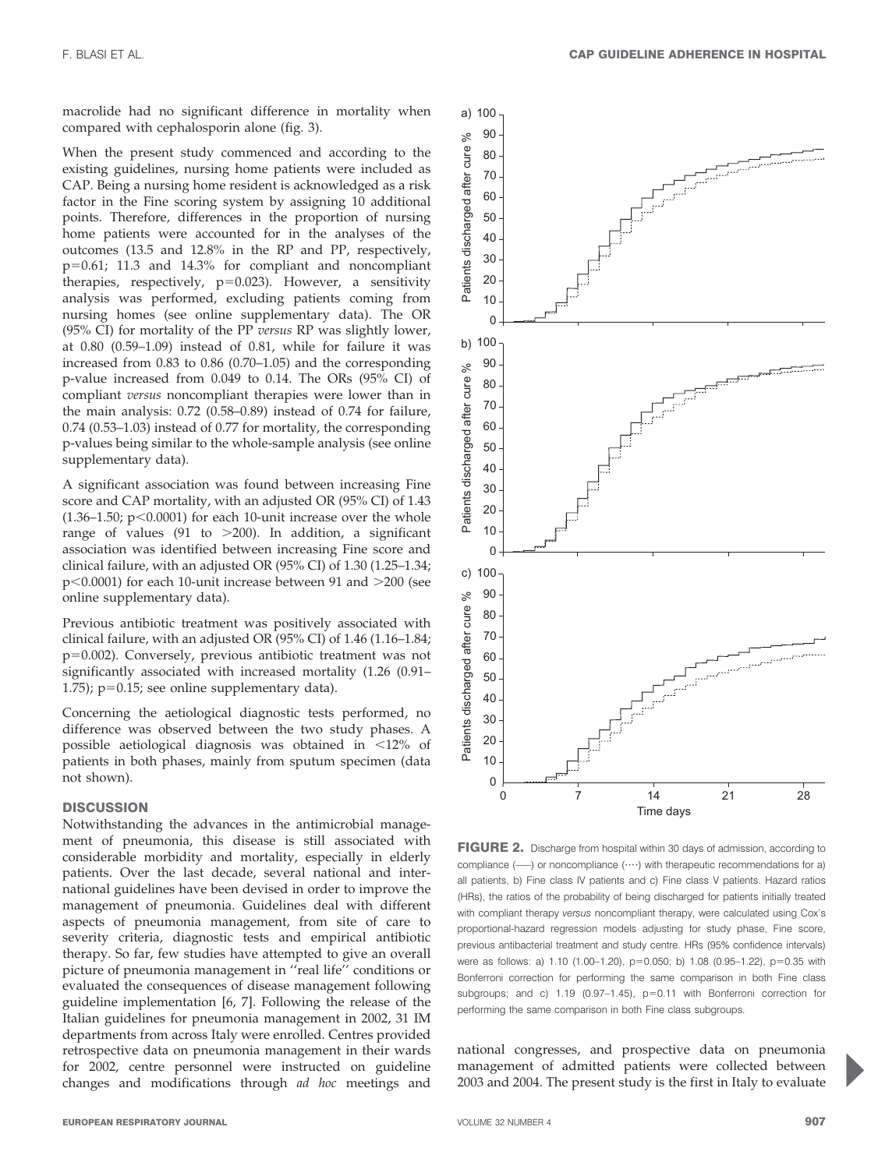macrolide had no significant difference in mortality when compared with cephalosporin alone (fig. 3).

When the present study commenced and according to the existing guidelines, nursing home patients were included as CAP. Being a nursing home resident is acknowledged as a risk factor in the Fine scoring system by assigning 10 additional points. Therefore, differences in the proportion of nursing home patients were accounted for in the analyses of the outcomes (13.5 and 12.8% in the RP and PP, respectively,  $p=0.61$ ; 11.3 and 14.3% for compliant and noncompliant therapies, respectively,  $p=0.023$ ). However, a sensitivity analysis was performed, excluding patients coming from nursing homes (see online supplementary data). The OR (95% CI) for mortality of the PP versus RP was slightly lower, at 0.80 (0.59–1.09) instead of 0.81, while for failure it was increased from 0.83 to 0.86 (0.70–1.05) and the corresponding p-value increased from 0.049 to 0.14. The ORs (95% CI) of compliant versus noncompliant therapies were lower than in the main analysis: 0.72 (0.58–0.89) instead of 0.74 for failure, 0.74 (0.53–1.03) instead of 0.77 for mortality, the corresponding p-values being similar to the whole-sample analysis (see online supplementary data).

A significant association was found between increasing Fine score and CAP mortality, with an adjusted OR (95% CI) of 1.43  $(1.36-1.50; p<0.0001)$  for each 10-unit increase over the whole range of values (91 to  $>200$ ). In addition, a significant association was identified between increasing Fine score and clinical failure, with an adjusted OR (95% CI) of 1.30 (1.25–1.34;  $p<0.0001$ ) for each 10-unit increase between 91 and  $>200$  (see online supplementary data).

Previous antibiotic treatment was positively associated with clinical failure, with an adjusted OR (95% CI) of 1.46 (1.16–1.84;  $p=0.002$ ). Conversely, previous antibiotic treatment was not significantly associated with increased mortality (1.26 (0.91– 1.75);  $p=0.15$ ; see online supplementary data).

Concerning the aetiological diagnostic tests performed, no difference was observed between the two study phases. A possible aetiological diagnosis was obtained in  $\langle 12\%$  of patients in both phases, mainly from sputum specimen (data not shown).

### **DISCUSSION**

Notwithstanding the advances in the antimicrobial management of pneumonia, this disease is still associated with considerable morbidity and mortality, especially in elderly patients. Over the last decade, several national and international guidelines have been devised in order to improve the management of pneumonia. Guidelines deal with different aspects of pneumonia management, from site of care to severity criteria, diagnostic tests and empirical antibiotic therapy. So far, few studies have attempted to give an overall picture of pneumonia management in ''real life'' conditions or evaluated the consequences of disease management following guideline implementation [6, 7]. Following the release of the Italian guidelines for pneumonia management in 2002, 31 IM departments from across Italy were enrolled. Centres provided retrospective data on pneumonia management in their wards for 2002, centre personnel were instructed on guideline changes and modifications through ad hoc meetings and



FIGURE 2. Discharge from hospital within 30 days of admission, according to compliance  $(\text{---})$  or noncompliance  $(\cdots)$  with therapeutic recommendations for a) all patients, b) Fine class IV patients and c) Fine class V patients. Hazard ratios (HRs), the ratios of the probability of being discharged for patients initially treated with compliant therapy versus noncompliant therapy, were calculated using Cox's proportional-hazard regression models adjusting for study phase, Fine score, previous antibacterial treatment and study centre. HRs (95% confidence intervals) were as follows: a) 1.10 (1.00-1.20),  $p=0.050$ ; b) 1.08 (0.95-1.22),  $p=0.35$  with Bonferroni correction for performing the same comparison in both Fine class subgroups; and c)  $1.19$  (0.97-1.45),  $p=0.11$  with Bonferroni correction for performing the same comparison in both Fine class subgroups.

national congresses, and prospective data on pneumonia management of admitted patients were collected between 2003 and 2004. The present study is the first in Italy to evaluate

P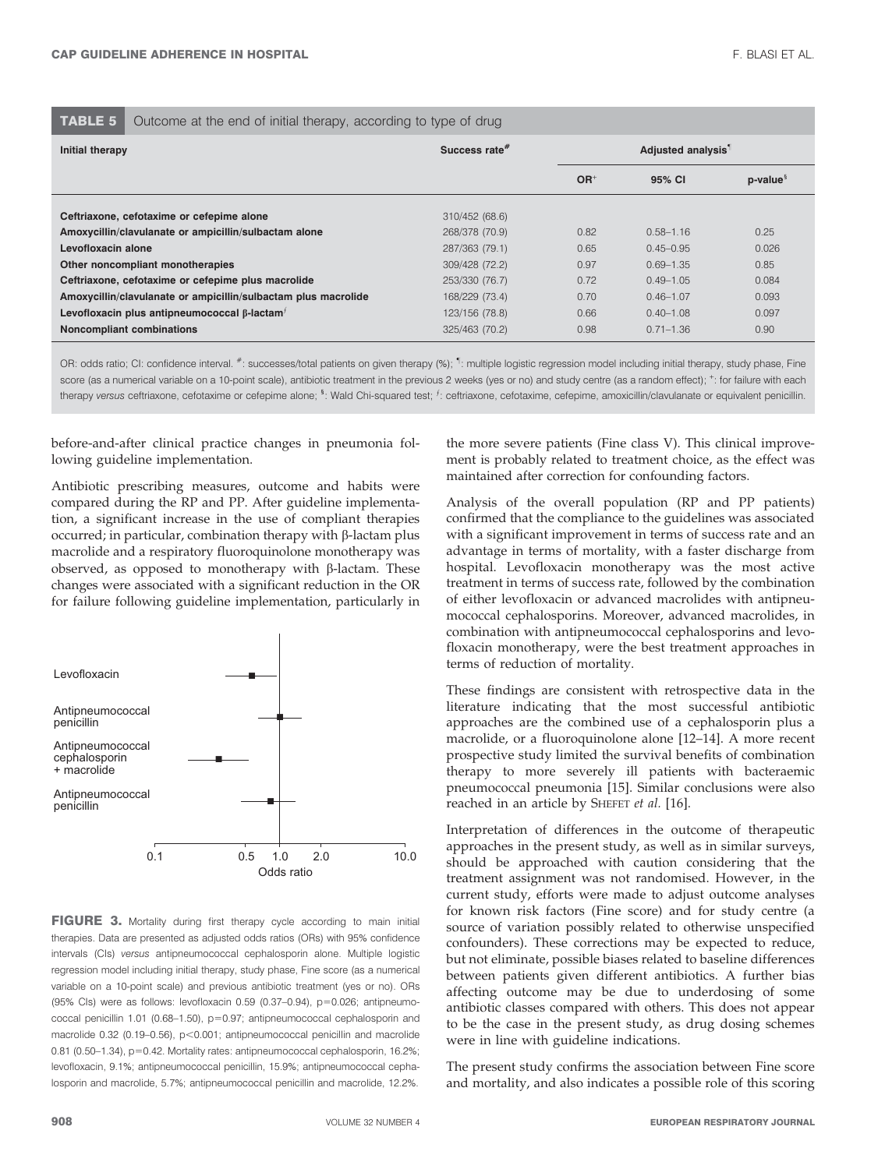# **TABLE 5** Outcome at the end of initial therapy, according to type of drug

| Initial therapy                                                 | Success rate <sup>#</sup> | Adjusted analysis <sup>1</sup> |               |                          |
|-----------------------------------------------------------------|---------------------------|--------------------------------|---------------|--------------------------|
|                                                                 |                           | $OR+$                          | 95% CI        | $p$ -value $\frac{8}{3}$ |
| Ceftriaxone, cefotaxime or cefepime alone                       | 310/452 (68.6)            |                                |               |                          |
| Amoxycillin/clavulanate or ampicillin/sulbactam alone           | 268/378 (70.9)            | 0.82                           | $0.58 - 1.16$ | 0.25                     |
| Levofloxacin alone                                              | 287/363 (79.1)            | 0.65                           | $0.45 - 0.95$ | 0.026                    |
| Other noncompliant monotherapies                                | 309/428 (72.2)            | 0.97                           | $0.69 - 1.35$ | 0.85                     |
| Ceftriaxone, cefotaxime or cefepime plus macrolide              | 253/330 (76.7)            | 0.72                           | $0.49 - 1.05$ | 0.084                    |
| Amoxycillin/clavulanate or ampicillin/sulbactam plus macrolide  | 168/229 (73.4)            | 0.70                           | $0.46 - 1.07$ | 0.093                    |
| Levofloxacin plus antipneumococcal $\beta$ -lactam <sup>+</sup> | 123/156 (78.8)            | 0.66                           | $0.40 - 1.08$ | 0.097                    |
| <b>Noncompliant combinations</b>                                | 325/463 (70.2)            | 0.98                           | $0.71 - 1.36$ | 0.90                     |

OR: odds ratio; CI: confidence interval. #: successes/total patients on given therapy (%); 1: multiple logistic regression model including initial therapy, study phase, Fine score (as a numerical variable on a 10-point scale), antibiotic treatment in the previous 2 weeks (yes or no) and study centre (as a random effect);  $^+$ : for failure with each therapy versus ceftriaxone, cefotaxime or cefepime alone; <sup>§</sup>: Wald Chi-squared test; <sup>f</sup>: ceftriaxone, cefotaxime, cefepime, amoxicillin/clavulanate or equivalent penicillin.

before-and-after clinical practice changes in pneumonia following guideline implementation.

Antibiotic prescribing measures, outcome and habits were compared during the RP and PP. After guideline implementation, a significant increase in the use of compliant therapies occurred; in particular, combination therapy with  $\beta$ -lactam plus macrolide and a respiratory fluoroquinolone monotherapy was observed, as opposed to monotherapy with  $\beta$ -lactam. These changes were associated with a significant reduction in the OR for failure following guideline implementation, particularly in



FIGURE 3. Mortality during first therapy cycle according to main initial therapies. Data are presented as adjusted odds ratios (ORs) with 95% confidence intervals (CIs) versus antipneumococcal cephalosporin alone. Multiple logistic regression model including initial therapy, study phase, Fine score (as a numerical variable on a 10-point scale) and previous antibiotic treatment (yes or no). ORs  $(95\% \text{ Cls})$  were as follows: levofloxacin 0.59  $(0.37-0.94)$ , p=0.026; antipneumococcal penicillin 1.01 (0.68-1.50),  $p=0.97$ ; antipneumococcal cephalosporin and macrolide 0.32 (0.19-0.56),  $p<0.001$ ; antipneumococcal penicillin and macrolide 0.81 (0.50-1.34), p=0.42. Mortality rates: antipneumococcal cephalosporin, 16.2%; levofloxacin, 9.1%; antipneumococcal penicillin, 15.9%; antipneumococcal cephalosporin and macrolide, 5.7%; antipneumococcal penicillin and macrolide, 12.2%.

the more severe patients (Fine class V). This clinical improvement is probably related to treatment choice, as the effect was maintained after correction for confounding factors.

Analysis of the overall population (RP and PP patients) confirmed that the compliance to the guidelines was associated with a significant improvement in terms of success rate and an advantage in terms of mortality, with a faster discharge from hospital. Levofloxacin monotherapy was the most active treatment in terms of success rate, followed by the combination of either levofloxacin or advanced macrolides with antipneumococcal cephalosporins. Moreover, advanced macrolides, in combination with antipneumococcal cephalosporins and levofloxacin monotherapy, were the best treatment approaches in terms of reduction of mortality.

These findings are consistent with retrospective data in the literature indicating that the most successful antibiotic approaches are the combined use of a cephalosporin plus a macrolide, or a fluoroquinolone alone [12–14]. A more recent prospective study limited the survival benefits of combination therapy to more severely ill patients with bacteraemic pneumococcal pneumonia [15]. Similar conclusions were also reached in an article by SHEFET et al. [16].

Interpretation of differences in the outcome of therapeutic approaches in the present study, as well as in similar surveys, should be approached with caution considering that the treatment assignment was not randomised. However, in the current study, efforts were made to adjust outcome analyses for known risk factors (Fine score) and for study centre (a source of variation possibly related to otherwise unspecified confounders). These corrections may be expected to reduce, but not eliminate, possible biases related to baseline differences between patients given different antibiotics. A further bias affecting outcome may be due to underdosing of some antibiotic classes compared with others. This does not appear to be the case in the present study, as drug dosing schemes were in line with guideline indications.

The present study confirms the association between Fine score and mortality, and also indicates a possible role of this scoring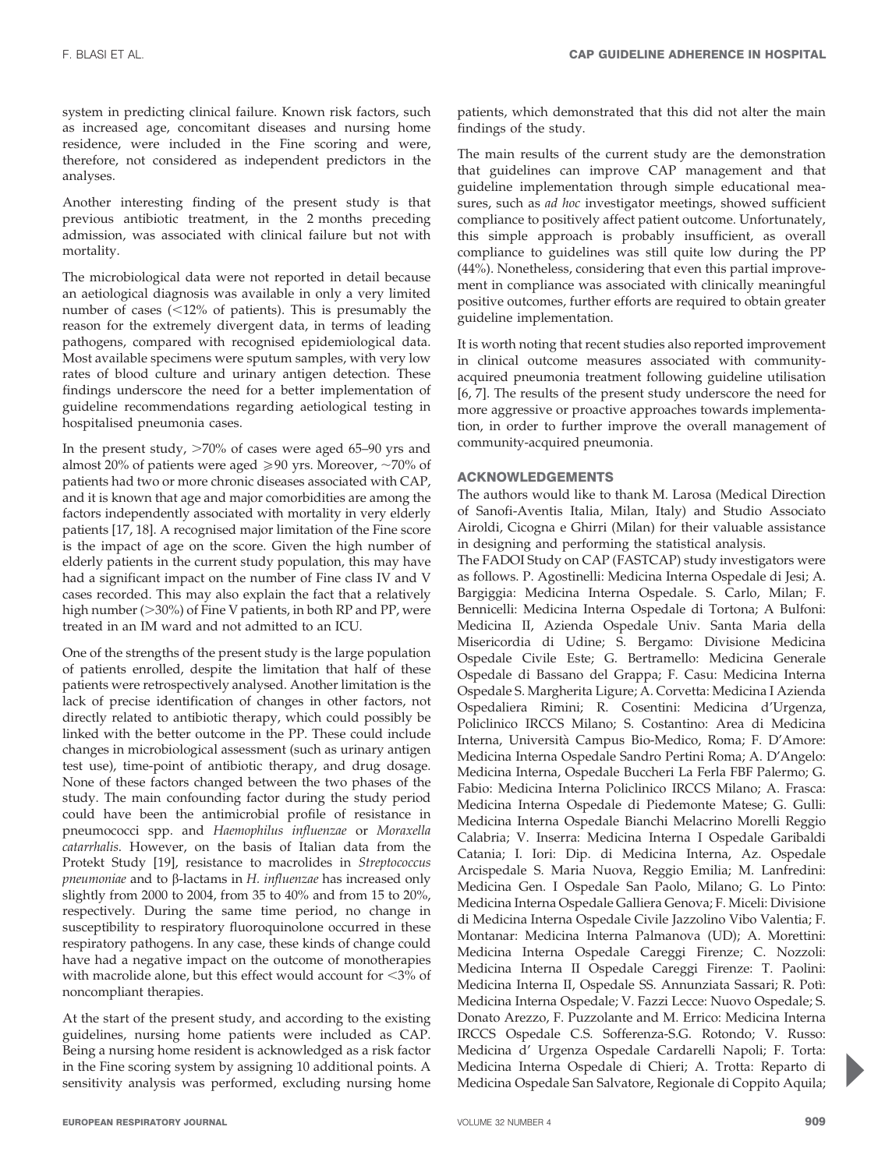system in predicting clinical failure. Known risk factors, such as increased age, concomitant diseases and nursing home residence, were included in the Fine scoring and were, therefore, not considered as independent predictors in the analyses.

Another interesting finding of the present study is that previous antibiotic treatment, in the 2 months preceding admission, was associated with clinical failure but not with mortality.

The microbiological data were not reported in detail because an aetiological diagnosis was available in only a very limited number of cases  $\left($  < 12% of patients). This is presumably the reason for the extremely divergent data, in terms of leading pathogens, compared with recognised epidemiological data. Most available specimens were sputum samples, with very low rates of blood culture and urinary antigen detection. These findings underscore the need for a better implementation of guideline recommendations regarding aetiological testing in hospitalised pneumonia cases.

In the present study,  $>70\%$  of cases were aged 65–90 yrs and almost 20% of patients were aged  $\geq 90$  yrs. Moreover,  $\sim 70\%$  of patients had two or more chronic diseases associated with CAP, and it is known that age and major comorbidities are among the factors independently associated with mortality in very elderly patients [17, 18]. A recognised major limitation of the Fine score is the impact of age on the score. Given the high number of elderly patients in the current study population, this may have had a significant impact on the number of Fine class IV and V cases recorded. This may also explain the fact that a relatively high number ( $>30\%$ ) of Fine V patients, in both RP and PP, were treated in an IM ward and not admitted to an ICU.

One of the strengths of the present study is the large population of patients enrolled, despite the limitation that half of these patients were retrospectively analysed. Another limitation is the lack of precise identification of changes in other factors, not directly related to antibiotic therapy, which could possibly be linked with the better outcome in the PP. These could include changes in microbiological assessment (such as urinary antigen test use), time-point of antibiotic therapy, and drug dosage. None of these factors changed between the two phases of the study. The main confounding factor during the study period could have been the antimicrobial profile of resistance in pneumococci spp. and Haemophilus influenzae or Moraxella catarrhalis. However, on the basis of Italian data from the Protekt Study [19], resistance to macrolides in Streptococcus pneumoniae and to  $\beta$ -lactams in H. influenzae has increased only slightly from 2000 to 2004, from 35 to 40% and from 15 to 20%, respectively. During the same time period, no change in susceptibility to respiratory fluoroquinolone occurred in these respiratory pathogens. In any case, these kinds of change could have had a negative impact on the outcome of monotherapies with macrolide alone, but this effect would account for  $\langle 3\%$  of noncompliant therapies.

At the start of the present study, and according to the existing guidelines, nursing home patients were included as CAP. Being a nursing home resident is acknowledged as a risk factor in the Fine scoring system by assigning 10 additional points. A sensitivity analysis was performed, excluding nursing home patients, which demonstrated that this did not alter the main findings of the study.

The main results of the current study are the demonstration that guidelines can improve CAP management and that guideline implementation through simple educational measures, such as *ad hoc* investigator meetings, showed sufficient compliance to positively affect patient outcome. Unfortunately, this simple approach is probably insufficient, as overall compliance to guidelines was still quite low during the PP (44%). Nonetheless, considering that even this partial improvement in compliance was associated with clinically meaningful positive outcomes, further efforts are required to obtain greater guideline implementation.

It is worth noting that recent studies also reported improvement in clinical outcome measures associated with communityacquired pneumonia treatment following guideline utilisation [6, 7]. The results of the present study underscore the need for more aggressive or proactive approaches towards implementation, in order to further improve the overall management of community-acquired pneumonia.

# ACKNOWLEDGEMENTS

The authors would like to thank M. Larosa (Medical Direction of Sanofi-Aventis Italia, Milan, Italy) and Studio Associato Airoldi, Cicogna e Ghirri (Milan) for their valuable assistance in designing and performing the statistical analysis.

The FADOI Study on CAP (FASTCAP) study investigators were as follows. P. Agostinelli: Medicina Interna Ospedale di Jesi; A. Bargiggia: Medicina Interna Ospedale. S. Carlo, Milan; F. Bennicelli: Medicina Interna Ospedale di Tortona; A Bulfoni: Medicina II, Azienda Ospedale Univ. Santa Maria della Misericordia di Udine; S. Bergamo: Divisione Medicina Ospedale Civile Este; G. Bertramello: Medicina Generale Ospedale di Bassano del Grappa; F. Casu: Medicina Interna Ospedale S. Margherita Ligure; A. Corvetta: Medicina I Azienda Ospedaliera Rimini; R. Cosentini: Medicina d'Urgenza, Policlinico IRCCS Milano; S. Costantino: Area di Medicina Interna, Universita` Campus Bio-Medico, Roma; F. D'Amore: Medicina Interna Ospedale Sandro Pertini Roma; A. D'Angelo: Medicina Interna, Ospedale Buccheri La Ferla FBF Palermo; G. Fabio: Medicina Interna Policlinico IRCCS Milano; A. Frasca: Medicina Interna Ospedale di Piedemonte Matese; G. Gulli: Medicina Interna Ospedale Bianchi Melacrino Morelli Reggio Calabria; V. Inserra: Medicina Interna I Ospedale Garibaldi Catania; I. Iori: Dip. di Medicina Interna, Az. Ospedale Arcispedale S. Maria Nuova, Reggio Emilia; M. Lanfredini: Medicina Gen. I Ospedale San Paolo, Milano; G. Lo Pinto: Medicina Interna Ospedale Galliera Genova; F. Miceli: Divisione di Medicina Interna Ospedale Civile Jazzolino Vibo Valentia; F. Montanar: Medicina Interna Palmanova (UD); A. Morettini: Medicina Interna Ospedale Careggi Firenze; C. Nozzoli: Medicina Interna II Ospedale Careggi Firenze: T. Paolini: Medicina Interna II, Ospedale SS. Annunziata Sassari; R. Potı`: Medicina Interna Ospedale; V. Fazzi Lecce: Nuovo Ospedale; S. Donato Arezzo, F. Puzzolante and M. Errico: Medicina Interna IRCCS Ospedale C.S. Sofferenza-S.G. Rotondo; V. Russo: Medicina d' Urgenza Ospedale Cardarelli Napoli; F. Torta: Medicina Interna Ospedale di Chieri; A. Trotta: Reparto di Medicina Ospedale San Salvatore, Regionale di Coppito Aquila;

P